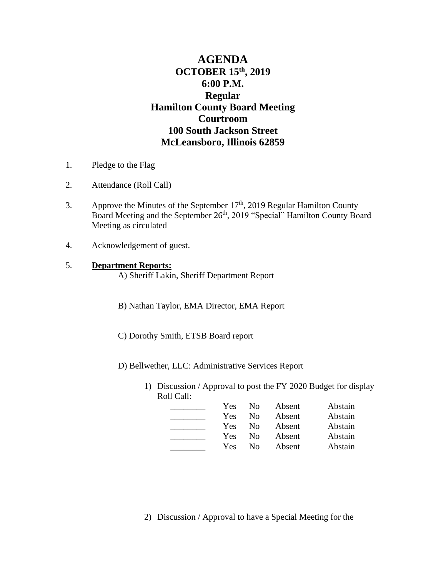# **AGENDA OCTOBER 15 th, 2019 6:00 P.M. Regular Hamilton County Board Meeting Courtroom 100 South Jackson Street McLeansboro, Illinois 62859**

- 1. Pledge to the Flag
- 2. Attendance (Roll Call)
- 3. Approve the Minutes of the September  $17<sup>th</sup>$ , 2019 Regular Hamilton County Board Meeting and the September 26<sup>th</sup>, 2019 "Special" Hamilton County Board Meeting as circulated
- 4. Acknowledgement of guest.

## 5. **Department Reports:**

A) Sheriff Lakin, Sheriff Department Report

- B) Nathan Taylor, EMA Director, EMA Report
- C) Dorothy Smith, ETSB Board report

D) Bellwether, LLC: Administrative Services Report

1) Discussion / Approval to post the FY 2020 Budget for display Roll Call:

| Yes | No.      | Absent | Abstain |
|-----|----------|--------|---------|
| Yes | $\rm No$ | Absent | Abstain |
| Yes | $\rm No$ | Absent | Abstain |
| Yes | $\rm No$ | Absent | Abstain |
| Yes | Nο       | Absent | Abstain |

2) Discussion / Approval to have a Special Meeting for the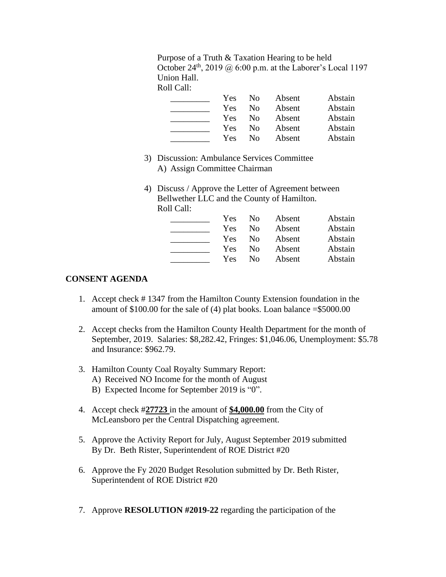Purpose of a Truth & Taxation Hearing to be held October 24<sup>th</sup>, 2019 @ 6:00 p.m. at the Laborer's Local 1197 Union Hall.

Roll Call:

| Yes        | $\rm No$       | Absent | Abstain |
|------------|----------------|--------|---------|
| Yes        | $\rm No$       | Absent | Abstain |
| <b>Yes</b> | N <sub>0</sub> | Absent | Abstain |
| Yes        | $\rm No$       | Absent | Abstain |
| Yes        | $\rm No$       | Absent | Abstain |

- 3) Discussion: Ambulance Services Committee A) Assign Committee Chairman
- 4) Discuss / Approve the Letter of Agreement between Bellwether LLC and the County of Hamilton. Roll Call:

| Yes | No. | Absent | Abstain |
|-----|-----|--------|---------|
| Yes | No  | Absent | Abstain |
| Yes | No  | Absent | Abstain |
| Yes | No  | Absent | Abstain |
| Yes | Nο  | Absent | Abstain |

#### **CONSENT AGENDA**

- 1. Accept check # 1347 from the Hamilton County Extension foundation in the amount of  $$100.00$  for the sale of (4) plat books. Loan balance  $= $5000.00$
- 2. Accept checks from the Hamilton County Health Department for the month of September, 2019. Salaries: \$8,282.42, Fringes: \$1,046.06, Unemployment: \$5.78 and Insurance: \$962.79.
- 3. Hamilton County Coal Royalty Summary Report: A) Received NO Income for the month of August
	- B) Expected Income for September 2019 is "0".
- 4. Accept check #**27723** in the amount of **\$4,000.00** from the City of McLeansboro per the Central Dispatching agreement.
- 5. Approve the Activity Report for July, August September 2019 submitted By Dr. Beth Rister, Superintendent of ROE District #20
- 6. Approve the Fy 2020 Budget Resolution submitted by Dr. Beth Rister, Superintendent of ROE District #20
- 7. Approve **RESOLUTION #2019-22** regarding the participation of the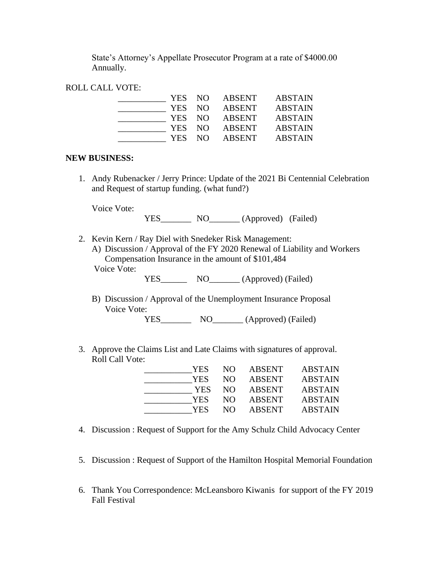State's Attorney's Appellate Prosecutor Program at a rate of \$4000.00 Annually.

#### ROLL CALL VOTE:

| YES NO |     | ABSENT        | <b>ABSTAIN</b> |
|--------|-----|---------------|----------------|
| YES NO |     | ABSENT        | <b>ABSTAIN</b> |
| YES NO |     | ABSENT        | <b>ABSTAIN</b> |
| YES NO |     | ABSENT        | <b>ABSTAIN</b> |
| YES.   | NO. | <b>ABSENT</b> | <b>ABSTAIN</b> |

#### **NEW BUSINESS:**

1. Andy Rubenacker / Jerry Prince: Update of the 2021 Bi Centennial Celebration and Request of startup funding. (what fund?)

Voice Vote:

YES\_\_\_\_\_\_\_ NO\_\_\_\_\_\_\_ (Approved) (Failed)

2. Kevin Kern / Ray Diel with Snedeker Risk Management: A) Discussion / Approval of the FY 2020 Renewal of Liability and Workers Compensation Insurance in the amount of \$101,484 Voice Vote:

YES\_\_\_\_\_\_\_\_\_ NO\_\_\_\_\_\_\_\_\_ (Approved) (Failed)

B) Discussion / Approval of the Unemployment Insurance Proposal Voice Vote:

YES\_\_\_\_\_\_\_\_\_\_ NO\_\_\_\_\_\_\_\_ (Approved) (Failed)

3. Approve the Claims List and Late Claims with signatures of approval. Roll Call Vote:

| YES        | NO. | ABSENT        | <b>ABSTAIN</b> |
|------------|-----|---------------|----------------|
| YES        | NO. | <b>ABSENT</b> | <b>ABSTAIN</b> |
| <b>YES</b> | NO. | <b>ABSENT</b> | <b>ABSTAIN</b> |
| YES        | NO. | <b>ABSENT</b> | <b>ABSTAIN</b> |
| YES        | NO. | <b>ABSENT</b> | <b>ABSTAIN</b> |
|            |     |               |                |

- 4. Discussion : Request of Support for the Amy Schulz Child Advocacy Center
- 5. Discussion : Request of Support of the Hamilton Hospital Memorial Foundation
- 6. Thank You Correspondence: McLeansboro Kiwanis for support of the FY 2019 Fall Festival